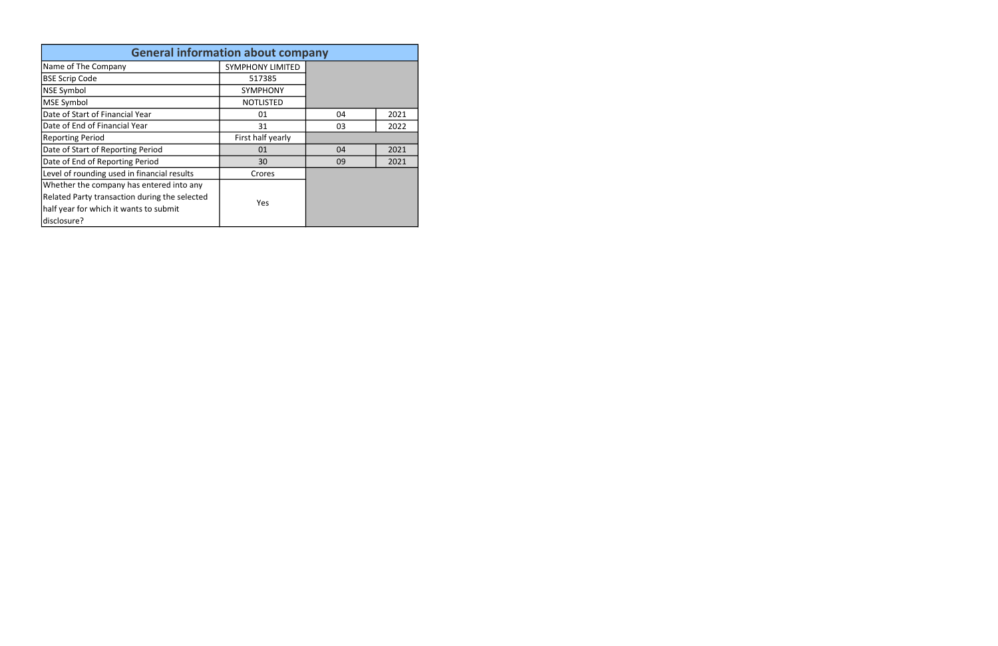| <b>General information about company</b>      |                         |    |      |  |  |  |  |  |  |
|-----------------------------------------------|-------------------------|----|------|--|--|--|--|--|--|
| Name of The Company                           | <b>SYMPHONY LIMITED</b> |    |      |  |  |  |  |  |  |
| <b>BSE Scrip Code</b>                         | 517385                  |    |      |  |  |  |  |  |  |
| <b>NSE Symbol</b>                             | <b>SYMPHONY</b>         |    |      |  |  |  |  |  |  |
| MSE Symbol                                    | <b>NOTLISTED</b>        |    |      |  |  |  |  |  |  |
| Date of Start of Financial Year               | 01                      | 04 | 2021 |  |  |  |  |  |  |
| Date of End of Financial Year                 | 31                      | 03 | 2022 |  |  |  |  |  |  |
| <b>Reporting Period</b>                       | First half yearly       |    |      |  |  |  |  |  |  |
| Date of Start of Reporting Period             | 01                      | 04 | 2021 |  |  |  |  |  |  |
| Date of End of Reporting Period               | 30                      | 09 | 2021 |  |  |  |  |  |  |
| Level of rounding used in financial results   | Crores                  |    |      |  |  |  |  |  |  |
| Whether the company has entered into any      |                         |    |      |  |  |  |  |  |  |
| Related Party transaction during the selected | Yes                     |    |      |  |  |  |  |  |  |
| half year for which it wants to submit        |                         |    |      |  |  |  |  |  |  |
| disclosure?                                   |                         |    |      |  |  |  |  |  |  |